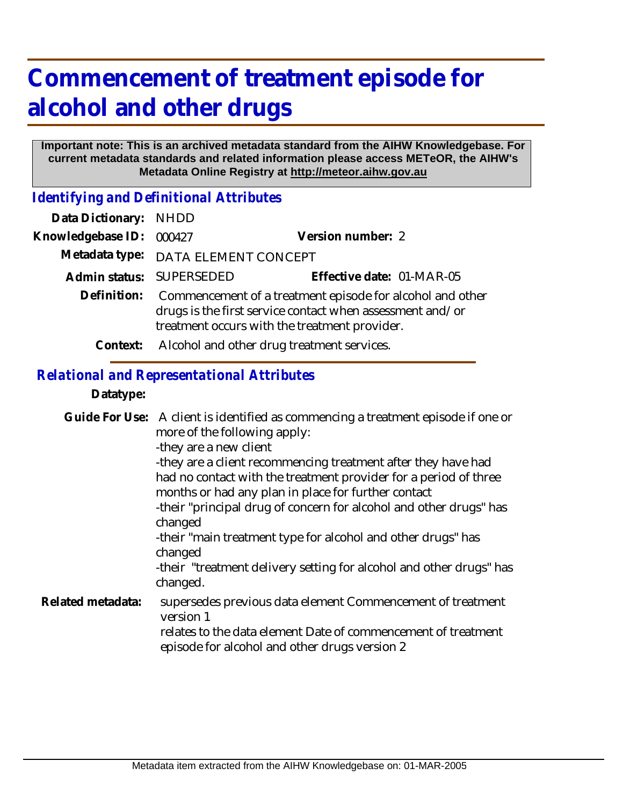# **Commencement of treatment episode for alcohol and other drugs**

#### **Important note: This is an archived metadata standard from the AIHW Knowledgebase. For current metadata standards and related information please access METeOR, the AIHW's Metadata Online Registry at http://meteor.aihw.gov.au**

*Identifying and Definitional Attributes*

| Data Dictionary: NHDD |                                                                                                                                                                         |                           |
|-----------------------|-------------------------------------------------------------------------------------------------------------------------------------------------------------------------|---------------------------|
| Knowledgebase ID:     | 000427                                                                                                                                                                  | Version number: 2         |
|                       | Metadata type: DATA ELEMENT CONCEPT                                                                                                                                     |                           |
|                       | Admin status: SUPERSEDED                                                                                                                                                | Effective date: 01-MAR-05 |
| Definition:           | Commencement of a treatment episode for alcohol and other<br>drugs is the first service contact when assessment and/or<br>treatment occurs with the treatment provider. |                           |
| Context:              | Alcohol and other drug treatment services.                                                                                                                              |                           |

## *Relational and Representational Attributes*

#### **Datatype:**

Guide For Use: A client is identified as commencing a treatment episode if one or more of the following apply: -they are a new client -they are a client recommencing treatment after they have had had no contact with the treatment provider for a period of three months or had any plan in place for further contact -their "principal drug of concern for alcohol and other drugs" has changed -their "main treatment type for alcohol and other drugs" has changed -their "treatment delivery setting for alcohol and other drugs" has changed. supersedes previous data element Commencement of treatment version 1 relates to the data element Date of commencement of treatment episode for alcohol and other drugs version 2 **Related metadata:**